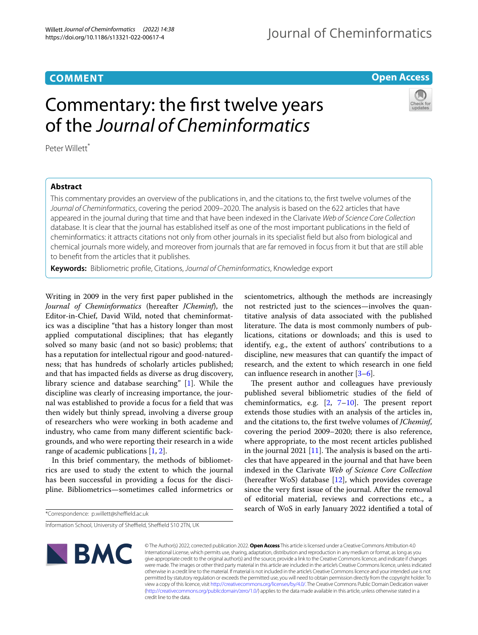# **COMMENT**

# Journal of Cheminformatics

## **Open Access**



# Commentary: the frst twelve years of the *Journal of Cheminformatics*

Peter Willett\*

### **Abstract**

This commentary provides an overview of the publications in, and the citations to, the frst twelve volumes of the *Journal of Cheminformatics*, covering the period 2009–2020. The analysis is based on the 622 articles that have appeared in the journal during that time and that have been indexed in the Clarivate *Web of Science Core Collection* database. It is clear that the journal has established itself as one of the most important publications in the feld of cheminformatics: it attracts citations not only from other journals in its specialist feld but also from biological and chemical journals more widely, and moreover from journals that are far removed in focus from it but that are still able to beneft from the articles that it publishes.

**Keywords:** Bibliometric profle, Citations, *Journal of Cheminformatics*, Knowledge export

Writing in 2009 in the very frst paper published in the *Journal of Cheminformatics* (hereafter *JCheminf*), the Editor-in-Chief, David Wild, noted that cheminformatics was a discipline "that has a history longer than most applied computational disciplines; that has elegantly solved so many basic (and not so basic) problems; that has a reputation for intellectual rigour and good-naturedness; that has hundreds of scholarly articles published; and that has impacted felds as diverse as drug discovery, library science and database searching" [\[1\]](#page-4-0). While the discipline was clearly of increasing importance, the journal was established to provide a focus for a feld that was then widely but thinly spread, involving a diverse group of researchers who were working in both academe and industry, who came from many diferent scientifc backgrounds, and who were reporting their research in a wide range of academic publications [[1](#page-4-0), [2\]](#page-4-1).

In this brief commentary, the methods of bibliometrics are used to study the extent to which the journal has been successful in providing a focus for the discipline. Bibliometrics—sometimes called informetrics or

Information School, University of Sheffield, Sheffield S10 2TN, UK



scientometrics, although the methods are increasingly not restricted just to the sciences—involves the quantitative analysis of data associated with the published literature. The data is most commonly numbers of publications, citations or downloads; and this is used to identify, e.g., the extent of authors' contributions to a discipline, new measures that can quantify the impact of research, and the extent to which research in one feld can infuence research in another [[3–](#page-4-2)[6\]](#page-4-3).

The present author and colleagues have previously published several bibliometric studies of the feld of cheminformatics, e.g.  $[2, 7-10]$  $[2, 7-10]$  $[2, 7-10]$  $[2, 7-10]$  $[2, 7-10]$ . The present report extends those studies with an analysis of the articles in, and the citations to, the frst twelve volumes of *JCheminf*, covering the period 2009–2020; there is also reference, where appropriate, to the most recent articles published in the journal 2021  $[11]$  $[11]$ . The analysis is based on the articles that have appeared in the journal and that have been indexed in the Clarivate *Web of Science Core Collection* (hereafter WoS) database  $[12]$  $[12]$ , which provides coverage since the very frst issue of the journal. After the removal of editorial material, reviews and corrections etc., a search of WoS in early January 2022 identifed a total of

© The Author(s) 2022, corrected publication 2022. **Open Access** This article is licensed under a Creative Commons Attribution 4.0 International License, which permits use, sharing, adaptation, distribution and reproduction in any medium or format, as long as you give appropriate credit to the original author(s) and the source, provide a link to the Creative Commons licence, and indicate if changes were made. The images or other third party material in this article are included in the article's Creative Commons licence, unless indicated otherwise in a credit line to the material. If material is not included in the article's Creative Commons licence and your intended use is not permitted by statutory regulation or exceeds the permitted use, you will need to obtain permission directly from the copyright holder. To view a copy of this licence, visit [http://creativecommons.org/licenses/by/4.0/.](http://creativecommons.org/licenses/by/4.0/) The Creative Commons Public Domain Dedication waiver [\(http://creativecommons.org/publicdomain/zero/1.0/\)](http://creativecommons.org/publicdomain/zero/1.0/) applies to the data made available in this article, unless otherwise stated in a credit line to the data.

<sup>\*</sup>Correspondence: p.willett@sheffield.ac.uk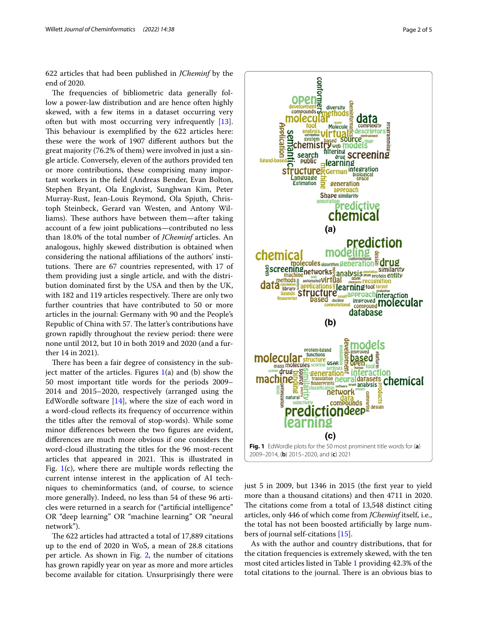622 articles that had been published in *JCheminf* by the end of 2020.

The frequencies of bibliometric data generally follow a power-law distribution and are hence often highly skewed, with a few items in a dataset occurring very often but with most occurring very infrequently [\[13](#page-4-8)]. This behaviour is exemplified by the 622 articles here: these were the work of 1907 diferent authors but the great majority (76.2% of them) were involved in just a single article. Conversely, eleven of the authors provided ten or more contributions, these comprising many important workers in the feld (Andreas Bender, Evan Bolton, Stephen Bryant, Ola Engkvist, Sunghwan Kim, Peter Murray-Rust, Jean-Louis Reymond, Ola Spjuth, Christoph Steinbeck, Gerard van Westen, and Antony Williams). These authors have between them—after taking account of a few joint publications—contributed no less than 18.0% of the total number of *JCheminf* articles. An analogous, highly skewed distribution is obtained when considering the national afliations of the authors' institutions. There are 67 countries represented, with 17 of them providing just a single article, and with the distribution dominated frst by the USA and then by the UK, with 182 and 119 articles respectively. There are only two further countries that have contributed to 50 or more articles in the journal: Germany with 90 and the People's Republic of China with 57. The latter's contributions have grown rapidly throughout the review period: there were none until 2012, but 10 in both 2019 and 2020 (and a further 14 in 2021).

There has been a fair degree of consistency in the subject matter of the articles. Figures  $1(a)$  $1(a)$  and (b) show the 50 most important title words for the periods 2009– 2014 and 2015–2020, respectively (arranged using the EdWordle software [[14\]](#page-4-9), where the size of each word in a word-cloud refects its frequency of occurrence within the titles after the removal of stop-words). While some minor diferences between the two fgures are evident, diferences are much more obvious if one considers the word-cloud illustrating the titles for the 96 most-recent articles that appeared in 2021. This is illustrated in Fig.  $1(c)$  $1(c)$ , where there are multiple words reflecting the current intense interest in the application of AI techniques to cheminformatics (and, of course, to science more generally). Indeed, no less than 54 of these 96 articles were returned in a search for ("artifcial intelligence" OR "deep learning" OR "machine learning" OR "neural network").

The 622 articles had attracted a total of 17,889 citations up to the end of 2020 in WoS, a mean of 28.8 citations per article. As shown in Fig. [2](#page-2-0), the number of citations has grown rapidly year on year as more and more articles become available for citation. Unsurprisingly there were





<span id="page-1-0"></span>just 5 in 2009, but 1346 in 2015 (the frst year to yield more than a thousand citations) and then 4711 in 2020. The citations come from a total of 13,548 distinct citing articles, only 446 of which come from *JCheminf* itself, i.e., the total has not been boosted artifcially by large numbers of journal self-citations [\[15](#page-4-10)].

As with the author and country distributions, that for the citation frequencies is extremely skewed, with the ten most cited articles listed in Table [1](#page-2-1) providing 42.3% of the total citations to the journal. There is an obvious bias to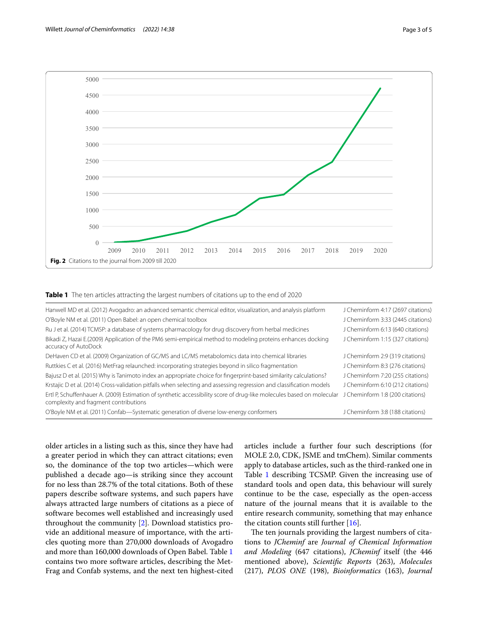

#### <span id="page-2-1"></span><span id="page-2-0"></span>**Table 1** The ten articles attracting the largest numbers of citations up to the end of 2020

| Hanwell MD et al. (2012) Avogadro: an advanced semantic chemical editor, visualization, and analysis platform                                                  | J Cheminform 4:17 (2697 citations) |
|----------------------------------------------------------------------------------------------------------------------------------------------------------------|------------------------------------|
| O'Boyle NM et al. (2011) Open Babel: an open chemical toolbox                                                                                                  | J Cheminform 3:33 (2445 citations) |
| Ru J et al. (2014) TCMSP: a database of systems pharmacology for drug discovery from herbal medicines                                                          | J Cheminform 6:13 (640 citations)  |
| Bikadi Z, Hazai E.(2009) Application of the PM6 semi-empirical method to modeling proteins enhances docking<br>accuracy of AutoDock                            | J Cheminform 1:15 (327 citations)  |
| DeHaven CD et al. (2009) Organization of GC/MS and LC/MS metabolomics data into chemical libraries                                                             | J Cheminform 2:9 (319 citations)   |
| Ruttkies C et al. (2016) MetFrag relaunched: incorporating strategies beyond in silico fragmentation                                                           | J Cheminform 8:3 (276 citations)   |
| Bajusz D et al. (2015) Why is Tanimoto index an appropriate choice for fingerprint-based similarity calculations?                                              | J Cheminform 7:20 (255 citations)  |
| Krstajic D et al. (2014) Cross-validation pitfalls when selecting and assessing regression and classification models                                           | J Cheminform 6:10 (212 citations)  |
| Ertl P, Schuffenhauer A. (2009) Estimation of synthetic accessibility score of drug-like molecules based on molecular<br>complexity and fragment contributions | J Cheminform 1:8 (200 citations)   |
| O'Boyle NM et al. (2011) Confab—Systematic generation of diverse low-energy conformers                                                                         | J Cheminform 3:8 (188 citations)   |

older articles in a listing such as this, since they have had a greater period in which they can attract citations; even so, the dominance of the top two articles—which were published a decade ago—is striking since they account for no less than 28.7% of the total citations. Both of these papers describe software systems, and such papers have always attracted large numbers of citations as a piece of software becomes well established and increasingly used throughout the community [[2\]](#page-4-1). Download statistics provide an additional measure of importance, with the articles quoting more than 270,000 downloads of Avogadro and more than 160,000 downloads of Open Babel. Table [1](#page-2-1) contains two more software articles, describing the Met-Frag and Confab systems, and the next ten highest-cited articles include a further four such descriptions (for MOLE 2.0, CDK, JSME and tmChem). Similar comments apply to database articles, such as the third-ranked one in Table [1](#page-2-1) describing TCSMP. Given the increasing use of standard tools and open data, this behaviour will surely continue to be the case, especially as the open-access nature of the journal means that it is available to the entire research community, something that may enhance the citation counts still further  $[16]$  $[16]$ .

The ten journals providing the largest numbers of citations to *JCheminf* are *Journal of Chemical Information and Modeling* (647 citations), *JCheminf* itself (the 446 mentioned above), *Scientifc Reports* (263), *Molecules* (217), *PLOS ONE* (198), *Bioinformatics* (163), *Journal*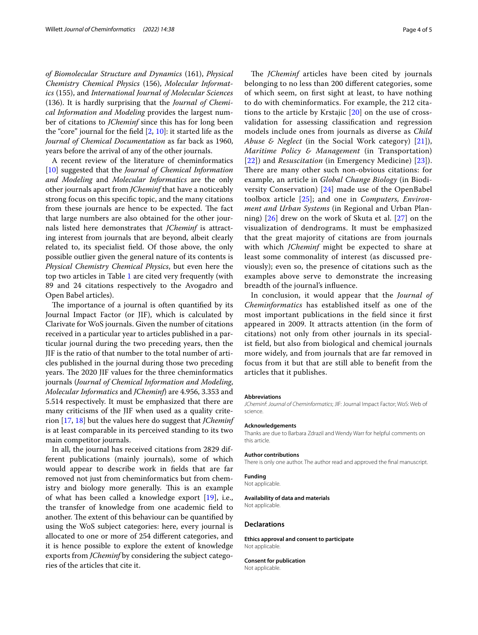*of Biomolecular Structure and Dynamics* (161), *Physical Chemistry Chemical Physics* (156), *Molecular Informatics* (155), and *International Journal of Molecular Sciences* (136). It is hardly surprising that the *Journal of Chemical Information and Modeling* provides the largest number of citations to *JCheminf* since this has for long been the "core" journal for the feld [\[2](#page-4-1), [10\]](#page-4-5): it started life as the *Journal of Chemical Documentation* as far back as 1960, years before the arrival of any of the other journals.

A recent review of the literature of cheminformatics [[10\]](#page-4-5) suggested that the *Journal of Chemical Information and Modeling* and *Molecular Informatics* are the only other journals apart from *JCheminf* that have a noticeably strong focus on this specifc topic, and the many citations from these journals are hence to be expected. The fact that large numbers are also obtained for the other journals listed here demonstrates that *JCheminf* is attracting interest from journals that are beyond, albeit clearly related to, its specialist feld. Of those above, the only possible outlier given the general nature of its contents is *Physical Chemistry Chemical Physics*, but even here the top two articles in Table [1](#page-2-1) are cited very frequently (with 89 and 24 citations respectively to the Avogadro and Open Babel articles).

The importance of a journal is often quantified by its Journal Impact Factor (or JIF), which is calculated by Clarivate for WoS journals. Given the number of citations received in a particular year to articles published in a particular journal during the two preceding years, then the JIF is the ratio of that number to the total number of articles published in the journal during those two preceding years. The 2020 JIF values for the three cheminformatics journals (*Journal of Chemical Information and Modeling*, *Molecular Informatics* and *JCheminf*) are 4.956, 3.353 and 5.514 respectively. It must be emphasized that there are many criticisms of the JIF when used as a quality criterion [\[17](#page-4-12), [18\]](#page-4-13) but the values here do suggest that *JCheminf* is at least comparable in its perceived standing to its two main competitor journals.

In all, the journal has received citations from 2829 different publications (mainly journals), some of which would appear to describe work in felds that are far removed not just from cheminformatics but from chemistry and biology more generally. This is an example of what has been called a knowledge export [[19\]](#page-4-14), i.e., the transfer of knowledge from one academic feld to another. The extent of this behaviour can be quantified by using the WoS subject categories: here, every journal is allocated to one or more of 254 diferent categories, and it is hence possible to explore the extent of knowledge exports from *JCheminf* by considering the subject categories of the articles that cite it.

The *JCheminf* articles have been cited by journals belonging to no less than 200 diferent categories, some of which seem, on frst sight at least, to have nothing to do with cheminformatics. For example, the 212 citations to the article by Krstajic [[20](#page-4-15)] on the use of crossvalidation for assessing classifcation and regression models include ones from journals as diverse as *Child Abuse & Neglect* (in the Social Work category) [[21\]](#page-4-16)), *Maritime Policy & Management* (in Transportation) [[22](#page-4-17)]) and *Resuscitation* (in Emergency Medicine) [[23\]](#page-4-18)). There are many other such non-obvious citations: for example, an article in *Global Change Biology* (in Biodiversity Conservation) [[24\]](#page-4-19) made use of the OpenBabel toolbox article [[25](#page-4-20)]; and one in *Computers, Environment and Urban Systems* (in Regional and Urban Planning) [\[26](#page-4-21)] drew on the work of Skuta et al. [[27\]](#page-4-22) on the visualization of dendrograms. It must be emphasized that the great majority of citations are from journals with which *JCheminf* might be expected to share at least some commonality of interest (as discussed previously); even so, the presence of citations such as the examples above serve to demonstrate the increasing breadth of the journal's infuence.

In conclusion, it would appear that the *Journal of Cheminformatics* has established itself as one of the most important publications in the feld since it frst appeared in 2009. It attracts attention (in the form of citations) not only from other journals in its specialist feld, but also from biological and chemical journals more widely, and from journals that are far removed in focus from it but that are still able to beneft from the articles that it publishes.

#### **Abbreviations**

*JCheminf*: *Journal of Cheminformatics*; JIF: Journal Impact Factor; WoS: Web of science.

#### **Acknowledgements**

Thanks are due to Barbara Zdrazil and Wendy Warr for helpful comments on this article.

#### **Author contributions**

There is only one author. The author read and approved the fnal manuscript.

#### **Funding**

Not applicable.

#### **Availability of data and materials**

Not applicable.

#### **Declarations**

**Ethics approval and consent to participate** Not applicable.

**Consent for publication**

Not applicable.